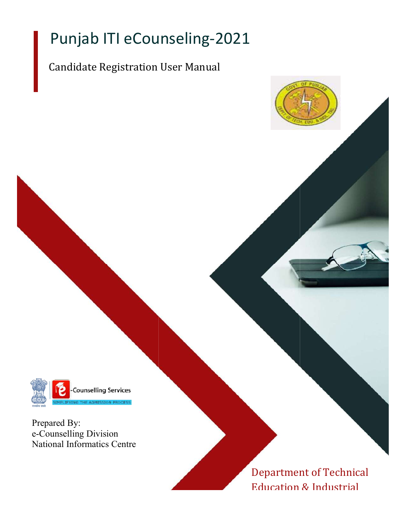# Punjab ITI eCounseling-2021

## Candidate Registration User Manual



Prepared By: e-Counselling Division National Informatics Centre

> Department of Technical Education & Industrial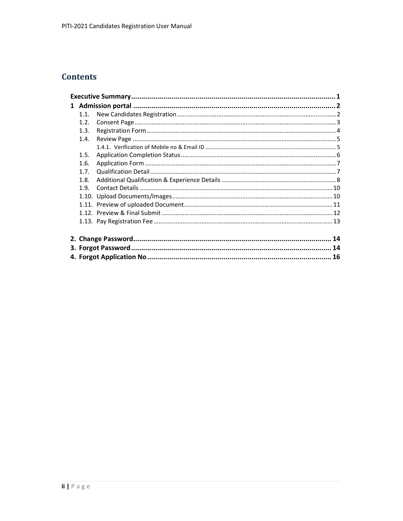## **Contents**

| 11   |  |
|------|--|
| 1.2. |  |
| 1.3. |  |
| 1.4. |  |
|      |  |
| 1.5. |  |
| 1.6. |  |
| 1.7. |  |
| 1.8. |  |
| 19   |  |
|      |  |
|      |  |
|      |  |
|      |  |
|      |  |
|      |  |
|      |  |
|      |  |
|      |  |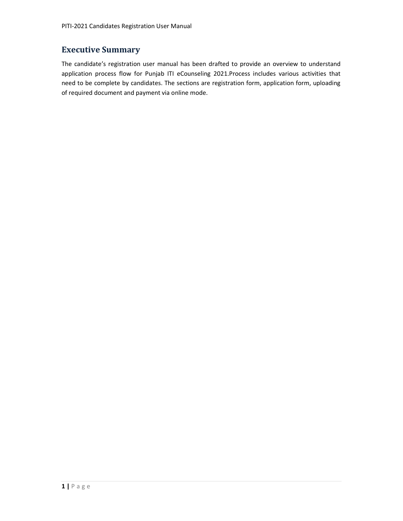## Executive Summary

The candidate's registration user manual has been drafted to provide an overview to understand application process flow for Punjab ITI eCounseling 2021.Process includes various activities that need to be complete by candidates. The sections are registration form, application form, uploading of required document and payment via online mode.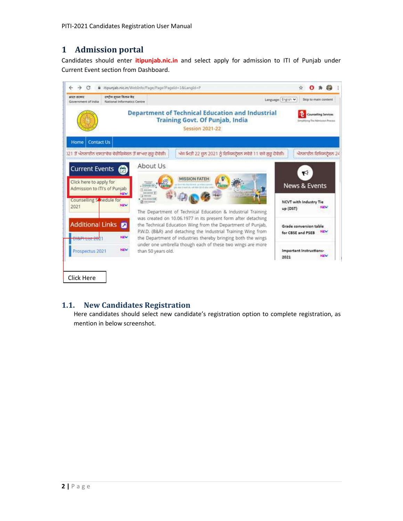## 1 Admission portal

Candidates should enter *itipunjab.nic.in* and select apply for admission to ITI of Punjab under Current Event section from Dashboard.



## 1.1. New Candidates Registration

mention in below screenshot.<br>
2 | P a g e Here candidates should select new candidate's registration option to complete registration, as mention in below screenshot.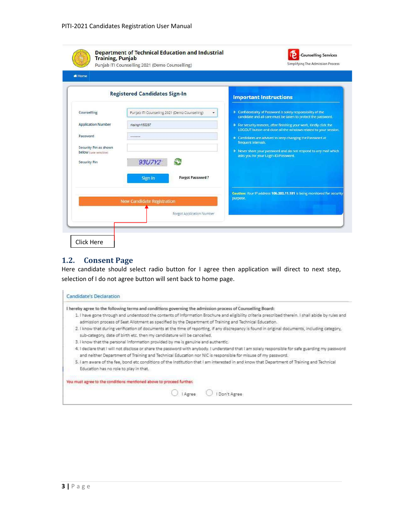| <b>#Home</b>                                                           |                                                     |                                                                                                                                         |
|------------------------------------------------------------------------|-----------------------------------------------------|-----------------------------------------------------------------------------------------------------------------------------------------|
|                                                                        | <b>Registered Candidates Sign-In</b>                | <b>Important Instructions</b>                                                                                                           |
| Counselling                                                            | Punjab ITI Counselling 2021 (Demo Counselling)<br>٠ | > Confidentiality of Password is solely responsibility of the<br>candidate and all care must be taken to protect the password.          |
| <b>Application Number</b>                                              | rksingh150287                                       | > For security reasons, after finishing your work, kindly click the<br>LOGOUT button and close all the windows related to your session. |
| Password                                                               | *********                                           | > Candidates are advised to keep changing the Password at<br>frequent intervals.                                                        |
| Security Pin as shown<br>below rease sensitive)<br><b>Security Pin</b> | 93U7Y2                                              | > Never share your password and do not respond to any mail which<br>asks you for your Login-ID/Password                                 |
|                                                                        | <b>Forgot Password?</b><br><b>Sign In</b>           |                                                                                                                                         |
|                                                                        | <b>New Candidate Registration</b>                   | Caution: Your IP address 106.202.11.181 is being monitored for security<br>purpose.                                                     |
|                                                                        | Forgot Application Number                           |                                                                                                                                         |

#### 1.2. Consent Page

Here candidate should select radio button for I agree then application will direct to next step, selection of I do not agree button will sent back to home page.

| Candidate's Declaration                                                                                    |         |                                                                                                                                                    |
|------------------------------------------------------------------------------------------------------------|---------|----------------------------------------------------------------------------------------------------------------------------------------------------|
| I hereby agree to the following terms and conditions governing the admission process of Counselling Board: |         |                                                                                                                                                    |
|                                                                                                            |         | 1. I have gone through and understood the contents of information Brochure and eligibility criteria prescribed therein. I shall abide by rules and |
|                                                                                                            |         | admission process of Seat Allotment as specified by the Department of Training and Technical Education.                                            |
| sub-category, date of birth etc. then my candidature will be cancelled.                                    |         | 2. I know that during verification of documents at the time of reporting, if any discrepancy is found in original documents, including category,   |
| 3. I know that the personal information provided by me is genuine and authentic.                           |         |                                                                                                                                                    |
|                                                                                                            |         | 4. I declare that I will not disclose or share the password with anybody. I understand that I am solely responsible for safe guarding my password  |
|                                                                                                            |         | and neither Department of Training and Technical Education nor NIC is responsible for misuse of my password.                                       |
|                                                                                                            |         | 5. I am aware of the fee, bond etc conditions of the Institution that I am interested in and know that Department of Training and Technical        |
| Education has no role to play in that.                                                                     |         |                                                                                                                                                    |
|                                                                                                            |         |                                                                                                                                                    |
| You must agree to the conditions mentioned above to proceed further.                                       |         |                                                                                                                                                    |
|                                                                                                            |         |                                                                                                                                                    |
|                                                                                                            | I Agree | I Don't Agree                                                                                                                                      |
|                                                                                                            |         |                                                                                                                                                    |
| $3   P \text{age}$                                                                                         |         |                                                                                                                                                    |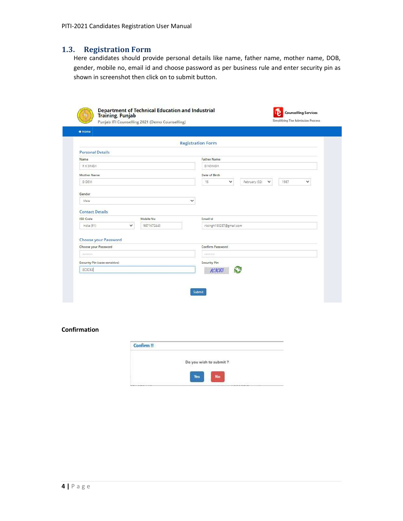#### 1.3. Registration Form

Here candidates should provide personal details like name, father name, mother name, DOB, gender, mobile no, email id and choose password as per business rule and enter security pin as shown in screenshot then click on to submit button.

|                                               |                          | <b>Registration Form</b> |                               |           |
|-----------------------------------------------|--------------------------|--------------------------|-------------------------------|-----------|
| <b>Personal Details</b>                       |                          |                          |                               |           |
| Name                                          |                          | <b>Father Name</b>       |                               |           |
| R K SINGH                                     |                          | D NSINGH                 |                               |           |
| Mother Name                                   |                          | Date of Birth            |                               |           |
| D DEVI                                        |                          | 15<br>$\checkmark$       | February (02)<br>$\checkmark$ | 1987<br>v |
| <b>Contact Details</b>                        |                          | Email Id                 |                               |           |
|                                               |                          |                          |                               |           |
| <b>ISD</b> Code<br>$\checkmark$<br>India (91) | Mobile No.<br>9871672440 |                          |                               |           |
| Choose your Password                          |                          | rksingh150287@gmail.com  |                               |           |
| Choose your Password                          |                          | Confirm Password         |                               |           |
|                                               |                          |                          |                               |           |
| Security Pin (case sensitive)                 |                          | Security Pin             |                               |           |

#### Confirmation

| Confirm !! |                         |
|------------|-------------------------|
|            | Do you wish to submit ? |
|            |                         |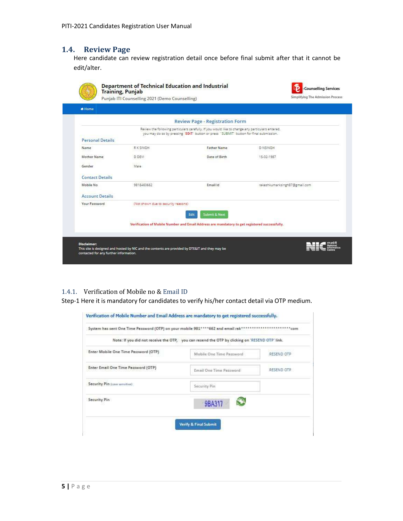## 1.4. Review Page

Here candidate can review registration detail once before final submit after that it cannot be edit/alter.

| <b><i>M</i></b> Home    |                                     |                                                                                                                                                                                            |                               |
|-------------------------|-------------------------------------|--------------------------------------------------------------------------------------------------------------------------------------------------------------------------------------------|-------------------------------|
|                         |                                     | <b>Review Page - Registration Form</b>                                                                                                                                                     |                               |
|                         |                                     | Review the following particulars carefully. If you would like to change any particulars entered,<br>you may do so by pressing "EDIT" button or press "SUBMIT" button for final submission. |                               |
| <b>Personal Details</b> |                                     |                                                                                                                                                                                            |                               |
| Name                    | <b>RKSINGH</b>                      | <b>Father Name</b>                                                                                                                                                                         | <b>D NSINGH</b>               |
| Mother Name             | <b>D DEVI</b>                       | Date of Birth                                                                                                                                                                              | 15-02-1987                    |
| Gender                  | Male                                |                                                                                                                                                                                            |                               |
| <b>Contact Details</b>  |                                     |                                                                                                                                                                                            |                               |
| Mobile No.              | 9818460662                          | Email Id                                                                                                                                                                                   | rakeshkumarksingh87@gmail.com |
| <b>Account Details</b>  |                                     |                                                                                                                                                                                            |                               |
| Your Password           | (Not shown due to security reasons) |                                                                                                                                                                                            |                               |
|                         |                                     | <b>Submit &amp; Next</b><br>Edit                                                                                                                                                           |                               |
|                         |                                     | Verification of Mobile Number and Email Address are mandatory to get registered successfully.                                                                                              |                               |
|                         |                                     |                                                                                                                                                                                            |                               |

#### 1.4.1. Verification of Mobile no & Email ID

Step-1 Here it is mandatory for candidates to verify his/her contact detail via OTP medium.

| System has sent One Time Password (OTP) on your mobile 981****662 and email rak********** |                                                                                                | $***$ com  |
|-------------------------------------------------------------------------------------------|------------------------------------------------------------------------------------------------|------------|
|                                                                                           | Note: If you did not receive the OTP, you can resend the OTP by clicking on 'RESEND OTP' link. |            |
| Enter Mobile One Time Password (OTP)                                                      | Mobile One Time Password                                                                       | RESEND OTP |
| Enter Email One Time Password (OTP)                                                       | Email One Time Password                                                                        | RESEND OTP |
| Security Pin (case sensitive)                                                             | Security Pin                                                                                   |            |
| Security Pin                                                                              | 9BA317                                                                                         |            |
|                                                                                           |                                                                                                |            |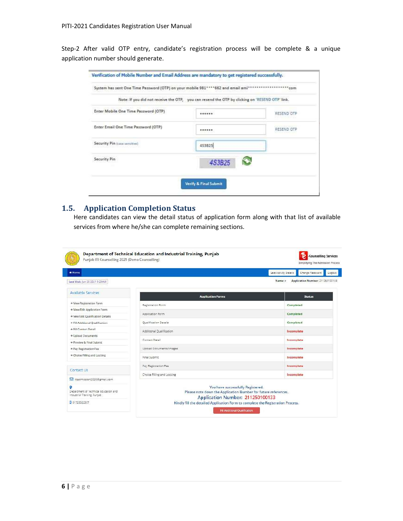Step-2 After valid OTP entry, candidate's registration process will be complete & a unique application number should generate.

| System has sent One Time Password (OTP) on your mobile 981**** 662 and email ami* |                                                                                                | ************* com |
|-----------------------------------------------------------------------------------|------------------------------------------------------------------------------------------------|-------------------|
|                                                                                   | Note: If you did not receive the OTP, you can resend the OTP by clicking on 'RESEND OTP' link. |                   |
| Enter Mobile One Time Password (OTP)                                              | ******                                                                                         | RESEND OTP        |
| Enter Email One Time Password (OTP)                                               |                                                                                                | RESEND OTP        |
| Security Pin (case semitive)                                                      | 453825                                                                                         |                   |
| Security Pin                                                                      | 4S3B25                                                                                         |                   |
|                                                                                   |                                                                                                |                   |

### 1.5. Application Completion Status

Here candidates can view the detail status of application form along with that list of available services from where he/she can complete remaining sections.

|                                                                      |                                                                                                                                         | Change Password<br>Last Activity Details<br>Logout |  |  |
|----------------------------------------------------------------------|-----------------------------------------------------------------------------------------------------------------------------------------|----------------------------------------------------|--|--|
| Last Visit: Jun 20:2021 9:29AM                                       |                                                                                                                                         | Application Number: 211250100133<br>Name: c        |  |  |
| Available Services                                                   | <b>Application Forms</b>                                                                                                                | <b>Status</b>                                      |  |  |
| > View Registration Form                                             | Registration Form                                                                                                                       | Completed                                          |  |  |
| > View/Edit Application Form                                         |                                                                                                                                         |                                                    |  |  |
| > Vew/Edit Qualification Details                                     | Application Form                                                                                                                        | Completed                                          |  |  |
| > Fill Additional Qualification                                      | Qualification Details                                                                                                                   | Completed                                          |  |  |
| + Fill Contact Detail                                                | Additional Qualification                                                                                                                | Incomplete                                         |  |  |
| > Upload Documents                                                   |                                                                                                                                         |                                                    |  |  |
| * Preview & Final Submit                                             | Contact Detail                                                                                                                          | Incomplete                                         |  |  |
| + Pay Registration Fee                                               | <b>Upload Documents/Images</b>                                                                                                          | Incomplate                                         |  |  |
| + Choice Filling and Locking                                         | Final Submit                                                                                                                            | Incomplete                                         |  |  |
| Contact Lis                                                          | Pay Registration Fee                                                                                                                    | Incomplete                                         |  |  |
|                                                                      | Choice Filling and Locking                                                                                                              | Incomplete                                         |  |  |
| Titadmission2020@gmail.com                                           |                                                                                                                                         |                                                    |  |  |
| Department of Technical Education and<br>Industrial Training, Punjab | You have successfully Registered.<br>Please note down the Application Number for future references.<br>Application Number: 211250100133 |                                                    |  |  |
| 0 01725022357                                                        | Kindly fill the detailed Application Form to complete the Registration Process.                                                         |                                                    |  |  |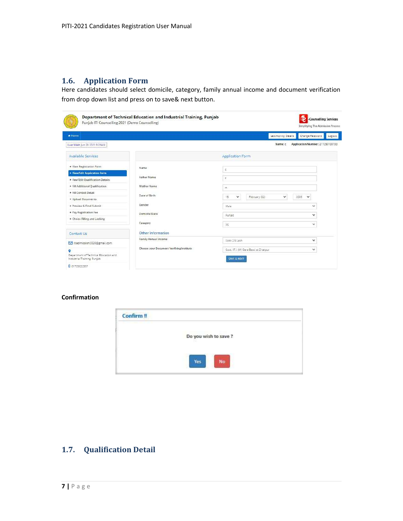## 1.6. Application Form

Here candidates should select domicile, category, family annual income and document verification from drop down list and press on to save& next button.

| # Home                           |                                          |                                         | Lest Activity Details         | Change Password<br>Logout        |
|----------------------------------|------------------------------------------|-----------------------------------------|-------------------------------|----------------------------------|
| Last Visit: Jun 20 2021 9:29AM   |                                          |                                         | Name: c                       | Application Number: 211250100133 |
| Available Services               |                                          | Application Form                        |                               |                                  |
| * View Registration Form         | Name                                     | $\mathbb C$                             |                               |                                  |
| + Viaw/Edit Application Form     | Father Name                              | $\tilde{\tau}$                          |                               |                                  |
| * Vew/Edit Qualification Details |                                          |                                         |                               |                                  |
| > Fill Additional Qualification  | Mother Name                              | m                                       |                               |                                  |
| > Fill Contact Detail            | Date of Birth                            |                                         |                               |                                  |
| * Upload Documents               |                                          | 15<br>v                                 | $\checkmark$<br>February (02) | 2005<br>$\checkmark$             |
| + Praviaw & Final Submit         | Gender                                   | Male                                    |                               | ŵ                                |
| + Pay Registration Fee           | Domicile/State                           | Puniab                                  |                               | $\checkmark$                     |
| * Choice Filling and Locking     |                                          |                                         |                               |                                  |
|                                  | Category                                 | SC                                      |                               | $\ddot{}$                        |
| Contact Us                       | Other Information                        |                                         |                               |                                  |
| Riadmission2020@gmail.com        | Family Annual Income                     | Upto 2.5 Lakh                           |                               | $\checkmark$                     |
|                                  | Choose your Document Verifying Institute | Govt, I.T.I. (W) Dera Bassi at Zirakpur |                               | $\checkmark$                     |

#### Confirmation



## 1.7. Qualification Detail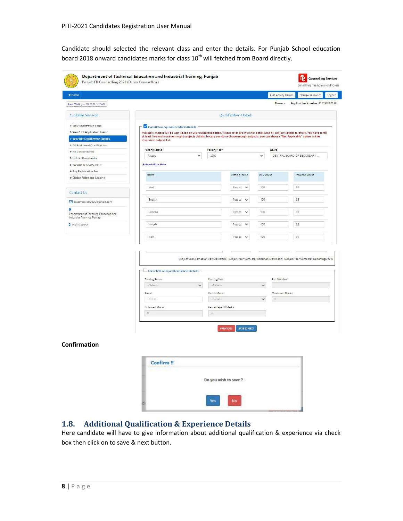Candidate should selected the relevant class and enter the details. For Punjab School education board 2018 onward candidates marks for class  $10^{th}$  will fetched from Board directly.

| Last Visit: Jun 20 2021 5:29AM<br><b>Available Services</b> |                                                                                                                                                        |              |                       |                                |              |               |                                                                                                                      |
|-------------------------------------------------------------|--------------------------------------------------------------------------------------------------------------------------------------------------------|--------------|-----------------------|--------------------------------|--------------|---------------|----------------------------------------------------------------------------------------------------------------------|
|                                                             |                                                                                                                                                        |              |                       |                                |              | Name:c        | Application Number: 211250100133                                                                                     |
|                                                             |                                                                                                                                                        |              |                       | Qualification Details          |              |               |                                                                                                                      |
| > View Registration Form                                    | Class 8th or Equivalent Marks Details                                                                                                                  |              |                       |                                |              |               |                                                                                                                      |
| > View/Edit Application Form                                | Available choices will be vary based on your subject selection. Please refer brochure for details and fill subject details carefully. You have to fill |              |                       |                                |              |               |                                                                                                                      |
| + Vew/Edit Qualification Details                            | at least five and maximum eight subjects details. In case you do not have enough subjects, you can choose 'Not Applicable' option in the               |              |                       |                                |              |               |                                                                                                                      |
|                                                             | respective subject list.                                                                                                                               |              |                       |                                |              |               |                                                                                                                      |
| > Fill Additional Qualification                             | Passing Status                                                                                                                                         |              | Passing Year          |                                |              | Board         |                                                                                                                      |
| + Fill Contact Datail                                       | Passed                                                                                                                                                 | $\checkmark$ | 2000                  |                                | $\checkmark$ |               | CENTRAL BOARD OF SECONDARY.                                                                                          |
| > Upload Documents                                          |                                                                                                                                                        |              |                       |                                |              |               |                                                                                                                      |
| * Preview & Final Submit                                    | <b>Subject Wise Mark</b>                                                                                                                               |              |                       |                                |              |               |                                                                                                                      |
| * Pay Registration Fee                                      |                                                                                                                                                        |              |                       |                                |              |               |                                                                                                                      |
| > Choice Filling and Locking                                | Name                                                                                                                                                   |              |                       | Passing Status                 | Max Marks    |               | Obtained Marks                                                                                                       |
|                                                             |                                                                                                                                                        |              |                       |                                |              |               |                                                                                                                      |
|                                                             | Hindi                                                                                                                                                  |              |                       | Passed<br>$\checkmark$         | 100          |               | 88                                                                                                                   |
| Contact Us                                                  |                                                                                                                                                        |              |                       |                                |              |               |                                                                                                                      |
| ciaomission2020@gmail.com                                   | English                                                                                                                                                |              |                       | Passed<br>$\checkmark$         | 100          |               | 89                                                                                                                   |
|                                                             |                                                                                                                                                        |              |                       |                                |              |               |                                                                                                                      |
| Department of Technical Education and                       | Drawing                                                                                                                                                |              |                       | Passed<br>$\check{ }$          | 100          |               | 98                                                                                                                   |
| Industrial Training, Purjab                                 |                                                                                                                                                        |              |                       |                                |              |               |                                                                                                                      |
| 0 91725022357                                               | Purjabi                                                                                                                                                |              |                       | Passed<br>$\ddot{\phantom{0}}$ | 100          |               | 88                                                                                                                   |
|                                                             |                                                                                                                                                        |              |                       |                                |              |               |                                                                                                                      |
|                                                             | Nath                                                                                                                                                   |              |                       | Dassed<br>$\checkmark$         | 100          |               | 99                                                                                                                   |
|                                                             |                                                                                                                                                        |              |                       |                                |              |               | Subject/Vear/Semetier Max Markt:500) Subject/Vear/Semetier Obtained Markt:487) Subject/Vear/Semetter Percentage 97.4 |
|                                                             | Class 12th or Equivalent Marks Details                                                                                                                 |              |                       |                                |              |               |                                                                                                                      |
|                                                             | <b>Dascing Status</b>                                                                                                                                  |              | <b>Passing Year</b>   |                                |              | Roll Number   |                                                                                                                      |
|                                                             | -Select                                                                                                                                                | $\checkmark$ | -Select-              |                                | $\checkmark$ |               |                                                                                                                      |
|                                                             | Board                                                                                                                                                  |              | Result Mode           |                                |              | Maximum Marks |                                                                                                                      |
|                                                             | Select-                                                                                                                                                |              | -Select-              |                                | ÷            | $\sigma$      |                                                                                                                      |
|                                                             | Obtained Marks                                                                                                                                         |              | Percentage Of Marks   |                                |              |               |                                                                                                                      |
|                                                             | $\circ$                                                                                                                                                |              |                       |                                |              |               |                                                                                                                      |
|                                                             |                                                                                                                                                        |              | $\mathbb{Q}$          |                                |              |               |                                                                                                                      |
|                                                             |                                                                                                                                                        |              |                       |                                |              |               |                                                                                                                      |
|                                                             |                                                                                                                                                        |              | <b>PREVIOUS</b>       | SAYE & NEXT                    |              |               |                                                                                                                      |
|                                                             |                                                                                                                                                        |              |                       |                                |              |               |                                                                                                                      |
|                                                             |                                                                                                                                                        |              |                       |                                |              |               |                                                                                                                      |
| Confirmation                                                |                                                                                                                                                        |              |                       |                                |              |               |                                                                                                                      |
|                                                             |                                                                                                                                                        |              |                       |                                |              |               |                                                                                                                      |
|                                                             |                                                                                                                                                        |              |                       |                                |              |               |                                                                                                                      |
|                                                             | Confirm <sup>11</sup>                                                                                                                                  |              |                       |                                |              |               |                                                                                                                      |
|                                                             |                                                                                                                                                        |              |                       |                                |              |               |                                                                                                                      |
|                                                             |                                                                                                                                                        |              |                       |                                |              |               |                                                                                                                      |
|                                                             |                                                                                                                                                        |              |                       |                                |              |               |                                                                                                                      |
|                                                             |                                                                                                                                                        |              | Do you wish to save ? |                                |              |               |                                                                                                                      |
|                                                             |                                                                                                                                                        |              |                       |                                |              |               |                                                                                                                      |

## 1.8. Additional Qualification & Experience Details

Here candidate will have to give information about additional qualification & experience via check box then click on to save & next button.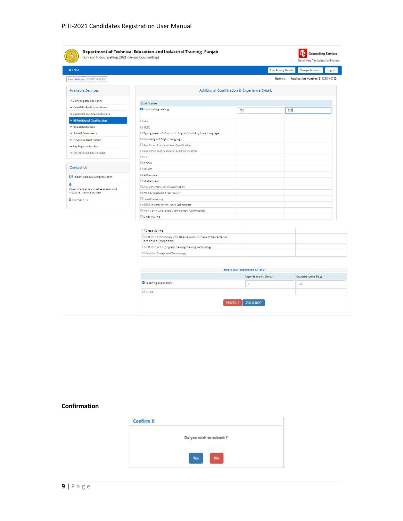| Home.                                                                |                                                                                        |                                               | Last Activity Details | Change Password                  | Logaut |
|----------------------------------------------------------------------|----------------------------------------------------------------------------------------|-----------------------------------------------|-----------------------|----------------------------------|--------|
| Last Visit: Jun 20 2021 9:29AM                                       |                                                                                        |                                               | Name: c               | Application Number: 211250100133 |        |
| Available Services                                                   |                                                                                        | Additional Qualification & Experience Details |                       |                                  |        |
| > View Registration Form                                             |                                                                                        |                                               |                       |                                  |        |
| > View/Edit Application Form                                         | Qualification                                                                          |                                               |                       |                                  |        |
| + Vaur/Edit Qualification Datails                                    | U Diploma Engineering                                                                  | 700                                           | 525                   |                                  |        |
| > Fill Additional Qualification                                      |                                                                                        |                                               |                       |                                  |        |
| > Fill Contact Detail                                                | <b>IMA</b>                                                                             |                                               |                       |                                  |        |
|                                                                      | D M.SC                                                                                 |                                               |                       |                                  |        |
| + Upload Documents                                                   | [7] Typing speed of 30 w.p.m in English/Hindi/Any Local Language                       |                                               |                       |                                  |        |
| > Preview & Final Submit                                             | [] Knowledge of English Language                                                       |                                               |                       |                                  |        |
| > Pay Registration Fee                                               | D Any Other Graduate Level Qualification                                               |                                               |                       |                                  |        |
| + Choice Filling and Locking                                         | Cl Any Other Post Graduate Level Qualification<br>$\Box$ 8.4                           |                                               |                       |                                  |        |
|                                                                      | D 8.COM                                                                                |                                               |                       |                                  |        |
| Contact Us                                                           | LIM.Com                                                                                |                                               |                       |                                  |        |
|                                                                      | D 8. Pharmacy                                                                          |                                               |                       |                                  |        |
| ciadmission2020@gmail.com                                            | I. M. Pharmacy                                                                         |                                               |                       |                                  |        |
| ۰                                                                    | Any Other10+2 Level Qualification                                                      |                                               |                       |                                  |        |
| Department of Technical Education and<br>Industrial Training, Punjab | <b>D</b> Fruit & Vegetable Preservation                                                |                                               |                       |                                  |        |
|                                                                      | <b>D</b> Food Processing                                                               |                                               |                       |                                  |        |
| 001725022357                                                         | D BBBT in Aprel secter under CoE scheme                                                |                                               |                       |                                  |        |
|                                                                      | [7] Hair & Skin Care/ Basic Cosmotology/ Cosmotology                                   |                                               |                       |                                  |        |
|                                                                      | D Dress Making                                                                         |                                               |                       |                                  |        |
|                                                                      |                                                                                        |                                               |                       |                                  |        |
|                                                                      |                                                                                        |                                               |                       |                                  |        |
|                                                                      | D Dress Making                                                                         |                                               |                       |                                  |        |
|                                                                      | C NTC/STC Embriodery and Needle Work/ Surface Ornamentation<br>Techniques (Embroidery) |                                               |                       |                                  |        |
|                                                                      | El NTC/STC in Cutting and Sewing/ Sewing Technology                                    |                                               |                       |                                  |        |
|                                                                      | El Fashion Design and Technology                                                       |                                               |                       |                                  |        |
|                                                                      |                                                                                        |                                               |                       |                                  |        |
|                                                                      |                                                                                        |                                               |                       |                                  |        |
|                                                                      |                                                                                        | Select your Experience (If any)               |                       |                                  |        |
|                                                                      |                                                                                        | <b>Experience in Month</b>                    |                       | <b>Experience in Days</b>        |        |
|                                                                      | <b>D</b> Teaching Experience                                                           | $\overline{7}$                                |                       | AE:                              |        |
|                                                                      | <b>DIT.C.P.C</b>                                                                       |                                               |                       |                                  |        |

### Confirmation

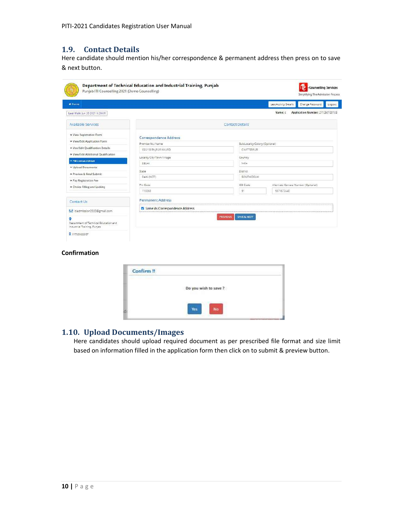#### 1.9. Contact Details

Here candidate should mention his/her correspondence & permanent address then press on to save & next button.

|                                |                                                                                     | Last Activity Details                       | Change Password                  | Logout                              |
|--------------------------------|-------------------------------------------------------------------------------------|---------------------------------------------|----------------------------------|-------------------------------------|
|                                |                                                                                     | Name: c                                     | Application Number: 211250100133 |                                     |
|                                | <b>Contact Details</b>                                                              |                                             |                                  |                                     |
|                                |                                                                                     |                                             |                                  |                                     |
| Premise No./Name               |                                                                                     |                                             |                                  |                                     |
| C65/1B RA IPUR KHURD           | CHATTERPLIR                                                                         |                                             |                                  |                                     |
|                                |                                                                                     |                                             |                                  |                                     |
|                                |                                                                                     |                                             |                                  |                                     |
|                                |                                                                                     |                                             |                                  |                                     |
|                                |                                                                                     |                                             |                                  |                                     |
|                                |                                                                                     |                                             |                                  |                                     |
| Pin Code                       | ISD Code                                                                            |                                             |                                  |                                     |
| 110068                         | 91                                                                                  | 9871572440                                  |                                  |                                     |
| <b>Permanent Address</b>       |                                                                                     |                                             |                                  |                                     |
| Same As Correspondence Address |                                                                                     |                                             |                                  |                                     |
|                                | SAVE & NEXT<br><b>PREVIOUS</b>                                                      |                                             |                                  |                                     |
|                                | Correspondence Address<br>Locality/City/Town/Village<br>DELHI<br>State<br>Dahi(NCT) | Country<br>India<br>District<br>SOUTH DELHI | Sub Locality/Colony (Optional)   | Alternate Contact Number (Optional) |

#### Confirmation

| Confirm !! |                       |  |
|------------|-----------------------|--|
|            | Do you wish to save ? |  |
|            |                       |  |

### 1.10. Upload Documents/Images

Here candidates should upload required document as per prescribed file format and size limit based on information filled in the application form then click on to submit & preview button.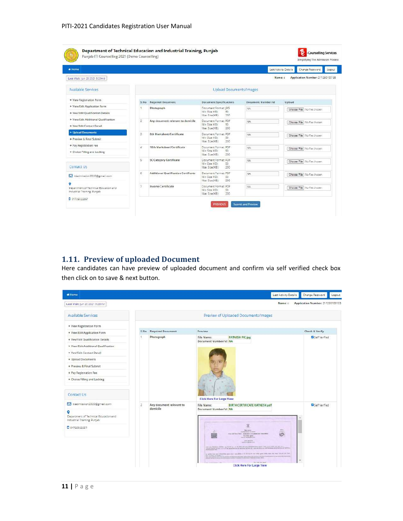| * Home                                                                   |                |                                      |                                                                              |                    | Change Password<br>Last Activity Details<br>Logout |
|--------------------------------------------------------------------------|----------------|--------------------------------------|------------------------------------------------------------------------------|--------------------|----------------------------------------------------|
| Last Visit: Jun 20 2021 9:29AM                                           |                |                                      |                                                                              | Name: c            | Application Number: 211250100133                   |
| Available Services                                                       |                |                                      | Upload Documents/Images                                                      |                    |                                                    |
| * View Registration Form                                                 | S.No.          | <b>Required Document</b>             | Document Specifications                                                      | Document Number/Id | Upload                                             |
| > View/Edit Application Form<br>> Vaw/Edit Qualification Datails         | h              | Photograph                           | Document Format: JPG<br>Min Size (KB):<br>50<br>Max Size (KB):<br>200        | NA.                | Choose File No file chosen                         |
| > View/Edit Additional Qualification<br>* Vew/Edit Contact Detail        | $\overline{z}$ | Any document relevant to domicile    | Document Formet: PDF<br>Min Size (KR):<br>50<br>Max Size (KB):<br>200        | NA:                | Choose File   No file chosen                       |
| + Upload Documents<br>+ Preview & Final Submit                           | 3              | 8th Marksheet/Certificate            | Document Format: PDF<br>Min Size (KB).<br>50<br>Max Size (KB):<br>200        | NA:                | Choose File   No file chosen                       |
| + Pay Registration Fee<br>* Choice Filling and Locking                   | 咨              | 10th Marksheet/Certificate           | Document Format: PDF<br>Min Siza (KR):<br>50<br>Max Size (KB):<br>200        | NA <sup></sup>     | Choose File   No file chosen                       |
| Contact Us                                                               | s              | SC Category Certificate              | Document Format: PDF<br>Min Size (KB):<br>Sö.<br>Max Size (KB):<br>200       | MA <sub>1</sub>    | Choose File   No file chosen                       |
| ciadmission2020@gmail.com                                                | $\overline{6}$ | Additional Qualification Certificate | Document Format: PDF<br>Min-Size (KB):<br>50<br>200<br>Max Size (KB):        | NA.                | Choose File No file chosen                         |
| ۰<br>Department of Technical Education and<br>Industrial Training Dunjab | 7              | Income Certificate                   | <b>Bocument Format: PDF</b><br>Min Size (KB):<br>50<br>Max Size (KB):<br>200 | NA.                | Choose File No file chosen                         |

## 1.11. Preview of uploaded Document

Here candidates can have preview of uploaded document and confirm via self verified check box then click on to save & next button.

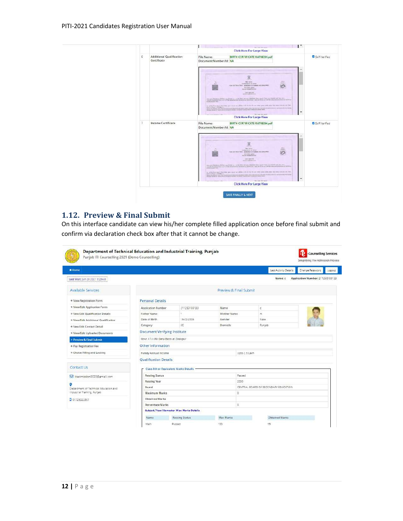

## 1.12. Preview & Final Submit

On this interface candidate can view his/her complete filled application once before final submit and confirm via declaration check box after that it cannot be change.

| <b>M</b> Home                              |                                         |                                          |                        | Last Activity Details                | Change Password<br>Logout        |
|--------------------------------------------|-----------------------------------------|------------------------------------------|------------------------|--------------------------------------|----------------------------------|
| Last Visit: Jun 20 2021 9:29AM             |                                         |                                          |                        | Name: c                              | Application Number: 211250100123 |
| Available Services                         |                                         |                                          | Preview & Final Submit |                                      |                                  |
| + View Registration Form                   | <b>Personal Details</b>                 |                                          |                        |                                      |                                  |
| > View/Edit Application Form               | <b>Application Number</b>               | 211250100133                             | Name                   | c                                    |                                  |
| > Vew/Edit Qualification Details           | Father Name                             |                                          | Mether Name            | $\tilde{m}$                          |                                  |
| + View/Edit Additional Qualification       | Date of Birth                           | 15-02-2005                               | Gender                 | Mae                                  |                                  |
| + Vew/Edit Contact Detail                  | Category                                | sc                                       | Domicile               | Punjab                               |                                  |
| > View/Edit Uploaded Documents             | <b>Document Verifying Institute</b>     |                                          |                        |                                      |                                  |
| > Preview & Final Submit                   | Govt. I.T.I. (W) Dera Bassi at Zirakpur |                                          |                        |                                      |                                  |
| + Pay Registration Fee                     | Other Information                       |                                          |                        |                                      |                                  |
| + Choice Filling and Locking               | Family Annual Income                    |                                          |                        | Upto 2.5 Lakh                        |                                  |
|                                            | <b>Qualification Details</b>            |                                          |                        |                                      |                                  |
| Contact Lis                                | Class 8th or Equivalent Marks Details   |                                          |                        |                                      |                                  |
| idadmission2020@gmail.com                  | Passing Status                          |                                          | Persed                 |                                      |                                  |
|                                            | Passing Year                            |                                          | 2000                   |                                      |                                  |
| ٥<br>Department of Technical Education and | Beard                                   |                                          |                        | CENTRAL BOARD OF SECONDARY EDUCATION |                                  |
| Industrial Training, Punjab                | <b>Maximum Marks</b>                    |                                          | $\Omega$               |                                      |                                  |
| 001725022857                               | <b>Obtained Marks</b>                   |                                          |                        |                                      |                                  |
|                                            | Percentage Marks                        |                                          | $\theta$               |                                      |                                  |
|                                            |                                         | Subject/Year/Semester Wise Marks Dotails |                        |                                      |                                  |
|                                            | Name                                    | Passing Status                           | Max Marks              | Obtained Marks                       |                                  |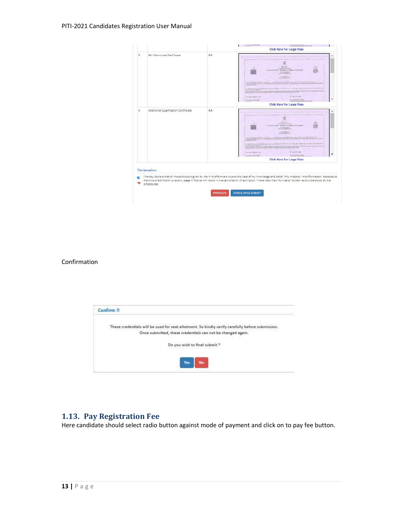| 5 | 8th Marksheet/Certificate            | NA: | <b>Click Here For Large View</b>                                                                                                                                                                                                                                                                                                                                                                                                                                                                                                                                                                                                                                                                                                                                                                                                                                                                                                                                                                                                                                                                                                                                                                                                                                                                                                                                                                  |
|---|--------------------------------------|-----|---------------------------------------------------------------------------------------------------------------------------------------------------------------------------------------------------------------------------------------------------------------------------------------------------------------------------------------------------------------------------------------------------------------------------------------------------------------------------------------------------------------------------------------------------------------------------------------------------------------------------------------------------------------------------------------------------------------------------------------------------------------------------------------------------------------------------------------------------------------------------------------------------------------------------------------------------------------------------------------------------------------------------------------------------------------------------------------------------------------------------------------------------------------------------------------------------------------------------------------------------------------------------------------------------------------------------------------------------------------------------------------------------|
|   |                                      |     | <b>WELGERS</b><br>CASEMOND OF CONSUM<br>them are from them. Assistance or realised and distuprent<br>$\begin{array}{c} \hspace{-2.5mm}\longrightarrow\\[-1mm] \hspace{-2.5mm}\longrightarrow\\[-1mm] \hspace{-2.5mm}\longrightarrow\\[-1mm] \hspace{-2.5mm}\longrightarrow\\[-1mm] \hspace{-2.5mm}\longrightarrow\\[-1mm] \hspace{-2.5mm}\longrightarrow\\[-1mm] \hspace{-2.5mm}\longrightarrow\\[-1mm] \hspace{-2.5mm}\longrightarrow\\[-1mm] \hspace{-2.5mm}\longrightarrow\\[-1mm] \hspace{-2.5mm}\longrightarrow\\[-1mm] \hspace{-2.5mm}\longrightarrow\\[-1mm] \hspace{-2.5mm}\longrightarrow\\[-1mm] \hspace{-2.5mm}\longrightarrow\\[-1mm] \hspace{-2.5mm}\longrightarrow\\[-1mm] \hspace$<br>one testing<br><b>BALLER CONTINUES</b><br>THE REST PROPERTY AND RESIDENCE OF THE RESIDENCE OF THE CONTRACT OF THE RESIDENCE OF THE RESIDENCE OF THE RESIDENCE OF THE RESIDENCE OF THE RESIDENCE OF THE RESIDENCE OF THE RESIDENCE OF THE RESIDENCE OF THE RESIDENCE OF T<br>to prive that the first term was away as all prive of a left as to use their precisely one for the company of the company of the company of the company of the company of the company of<br>The SAME IN PERSONAL PROPERTY AND CONTROL CONSTRUCTION OF REPORT OF REAL PROPERTY.<br>THE LABOR STATISTICS.<br>and pressing surfaces a listic<br>seventerring.<br>on this painter sent.<br>Click Here For Large View |
| 6 | Additional Qualification Certificate | NA. | ж<br><b>Service Adams</b><br>VANDASHIN' CENTRAL<br><b>Sec.</b><br>man do hour finant. Minicheled of reasons are mancrower.<br>and other speed<br>seringancians<br>the property of the company's the second company's property of the company's property<br>$\alpha$ para no any finishing are no $\alpha$ at the $\alpha$ is still as an observe the continuous form and $\alpha$ is a state of the state of the state of the state of the state of the state of the state of the state of the state of<br>The Legislavy: MALE<br>and I meets behaviors in this<br><b>AR OVERESTED</b><br>on Television rement                                                                                                                                                                                                                                                                                                                                                                                                                                                                                                                                                                                                                                                                                                                                                                                    |
|   |                                      |     | Click Here For Large View                                                                                                                                                                                                                                                                                                                                                                                                                                                                                                                                                                                                                                                                                                                                                                                                                                                                                                                                                                                                                                                                                                                                                                                                                                                                                                                                                                         |

#### Confirmation



#### 1.13. Pay Registration Fee

Here candidate should select radio button against mode of payment and click on to pay fee button.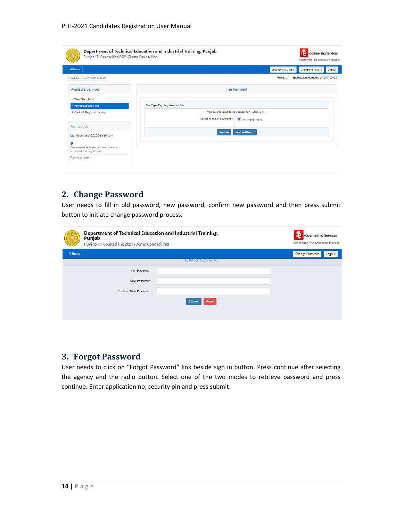| Punjab ITI Counselling 2021 (Demo Counselling)                            | Department of Technical Education and Industrial Training, Punjab | -Counselling Services<br>Simplifying The Admission Process |
|---------------------------------------------------------------------------|-------------------------------------------------------------------|------------------------------------------------------------|
| <del>n</del> Home                                                         |                                                                   | Last Activity Details<br>Change Password<br>Logout         |
| Last Visit: Jun 20 2021 9:29 AM                                           |                                                                   | Application Number: 211250100133<br>Name: c                |
| <b>Available Services</b>                                                 |                                                                   | Fee Payment                                                |
| S View Filled Form                                                        |                                                                   |                                                            |
| + Pay Registration Fee                                                    | Fee Type:Pay Registration Fee                                     |                                                            |
| + Choice Filling and Locking                                              |                                                                   | You are required to pay an amount of Rs. 2 /- .            |
|                                                                           | Select mode of payment:                                           | Online Payment                                             |
| Contact Us                                                                |                                                                   |                                                            |
| isiadmission2020@gmail.com                                                | Pay Fee                                                           | Pay Fee (Demo)                                             |
| o<br>Department of Technical Education and<br>Industrial Training, Punjab |                                                                   |                                                            |
| 001725022357                                                              |                                                                   |                                                            |

## 2. Change Password

User needs to fill in old password, new password, confirm new password and then press submit button to initiate change password process.

| -Counselling Services<br>Simplifying The Admission Process |
|------------------------------------------------------------|
| Logout                                                     |
|                                                            |
|                                                            |
|                                                            |
|                                                            |
|                                                            |
|                                                            |
|                                                            |

## 3. Forgot Password

User needs to click on "Forgot Password" link beside sign in button. Press continue after selecting the agency and the radio button. Select one of the two modes to retrieve password and press continue. Enter application no, security pin and press submit.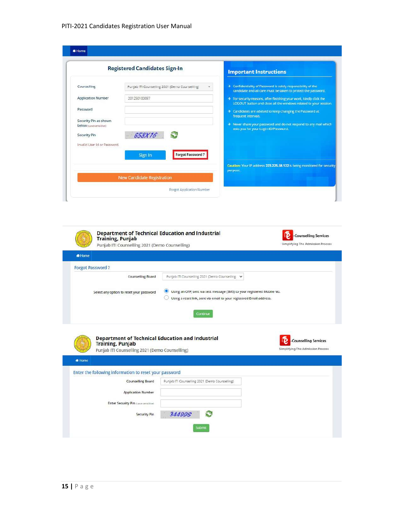|                                                 | <b>Registered Candidates Sign-In</b>           | <b>Important Instructions</b>                                                                                                           |
|-------------------------------------------------|------------------------------------------------|-----------------------------------------------------------------------------------------------------------------------------------------|
| Counselling                                     | Punjab ITI Counselling 2021 (Demo Counselling) | > Confidentiality of Password is solely responsibility of the<br>candidate and all care must be taken to protect the password.          |
| <b>Application Number</b>                       | 201250100097                                   | > For security reasons, after finishing your work, kindly click the<br>LOGOUT button and close all the windows related to your session. |
| Password                                        |                                                | > Candidates are advised to keep changing the Password at<br>frequent intervals.                                                        |
| Security Pin as shown<br>below (case sensitive) |                                                | > Never share your password and do not respond to any mail which<br>asks you for your Login-D/Password.                                 |
| Security Pin                                    | 658X16                                         |                                                                                                                                         |
| Invalid User Id or Password.                    | <b>Forgot Password?</b>                        |                                                                                                                                         |
|                                                 | Sign In                                        | Caution: Your IP address 223,225.58,122 is being monitored for security                                                                 |
|                                                 | New Candidate Registration                     | purpose.                                                                                                                                |
|                                                 | Forgot Application Number                      |                                                                                                                                         |

| <b>R</b> Home                                                                                                                        |                                                                                                                                                 |                                                                  |
|--------------------------------------------------------------------------------------------------------------------------------------|-------------------------------------------------------------------------------------------------------------------------------------------------|------------------------------------------------------------------|
| <b>Forgot Password?</b>                                                                                                              |                                                                                                                                                 |                                                                  |
| Counselling Board                                                                                                                    | Punjab ITI Counselling 2021 (Demo Counselling V                                                                                                 |                                                                  |
| Select any option to reset your password                                                                                             | Using an OTP, sent via text message (SMS) to your registered Mobile No.<br>Using a reset link, sent via email to your registered Email address. |                                                                  |
|                                                                                                                                      | Continue                                                                                                                                        |                                                                  |
|                                                                                                                                      |                                                                                                                                                 |                                                                  |
| <b>Department of Technical Education and Industrial</b><br><b>Training, Punjab</b><br>Punjab ITI Counselling 2021 (Demo Counselling) |                                                                                                                                                 | <b>Counselling Services</b><br>Simplifying The Admission Process |
|                                                                                                                                      |                                                                                                                                                 |                                                                  |
|                                                                                                                                      |                                                                                                                                                 |                                                                  |
| <b>Counselling Board</b>                                                                                                             | Punjab ITI Counselling 2021 (Demo Counselling)                                                                                                  |                                                                  |
| Home<br>Enter the following information to reset your password<br><b>Application Number</b>                                          |                                                                                                                                                 |                                                                  |
| <b>Enter Security Pin [case consition]</b>                                                                                           |                                                                                                                                                 |                                                                  |